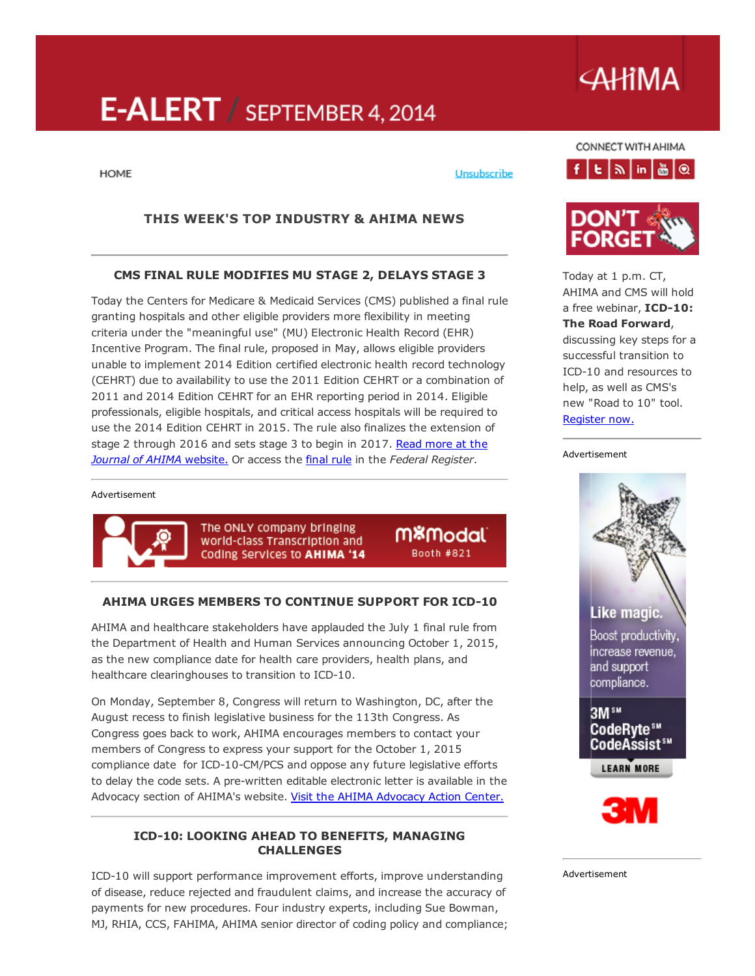# E-ALERT / SEPTEMBER 4, 2014

# **AHIMA**

**HOME** 

### Unsubscribe

# THIS WEEK'S TOP INDUSTRY & AHIMA NEWS

### CMS FINAL RULE MODIFIES MU STAGE 2, DELAYS STAGE 3

Today the Centers for Medicare & Medicaid Services (CMS) published a final rule granting hospitals and other eligible providers more flexibility in meeting criteria under the "meaningful use" (MU) Electronic Health Record (EHR) Incentive Program. The final rule, proposed in May, allows eligible providers unable to implement 2014 Edition certified electronic health record technology (CEHRT) due to availability to use the 2011 Edition CEHRT or a combination of 2011 and 2014 Edition CEHRT for an EHR reporting period in 2014. Eligible professionals, eligible hospitals, and critical access hospitals will be required to use the 2014 Edition CEHRT in 2015. The rule also finalizes the extension of stage 2 through 2016 and sets stage 3 to begin in 2017. Read more at the *Journal of AHIMA* [website.](http://journal.ahima.org/?p=10111) Or access the [final](https://www.federalregister.gov/articles/2014/09/04/2014-21021/modifications-to-the-medicare-and-medicaid-electronic-health-record-ehr-incentive-program-for-2014) rule in the *Federal Register*.

#### Advertisement



The ONLY company bringing world-class Transcription and Coding Services to AHIMA '14

m<sup>&</sup>modal Booth #821

# AHIMA URGES MEMBERS TO CONTINUE SUPPORT FOR ICD-10

AHIMA and healthcare stakeholders have applauded the July 1 final rule from the Department of Health and Human Services announcing October 1, 2015, as the new compliance date for health care providers, health plans, and healthcare clearinghouses to transition to ICD-10.

On Monday, September 8, Congress will return to Washington, DC, after the August recess to finish legislative business for the 113th Congress. As Congress goes back to work, AHIMA encourages members to contact your members of Congress to express your support for the October 1, 2015 compliance date for ICD-10-CM/PCS and oppose any future legislative efforts to delay the code sets. A pre-written editable electronic letter is available in the Advocacy section of AHIMA's website. Visit the AHIMA [Advocacy](http://capwiz.com/ahima/issues/alert/?alertid=63175786) Action Center.

### **ICD-10: LOOKING AHEAD TO BENEFITS, MANAGING** CHALLENGES

ICD-10 will support performance improvement efforts, improve understanding of disease, reduce rejected and fraudulent claims, and increase the accuracy of payments for new procedures. Four industry experts, including Sue Bowman, MJ, RHIA, CCS, FAHIMA, AHIMA senior director of coding policy and compliance;



CONNECT WITH AHIMA



Today at 1 p.m. CT, AHIMA and CMS will hold a free webinar, ICD-10: The Road Forward, discussing key steps for a successful transition to ICD-10 and resources to help, as well as CMS's new "Road to 10" tool. [Register](https://cc.readytalk.com/cc/s/registrations/new?cid=q9a0tem1jn9d) now.

#### Advertisement





Advertisement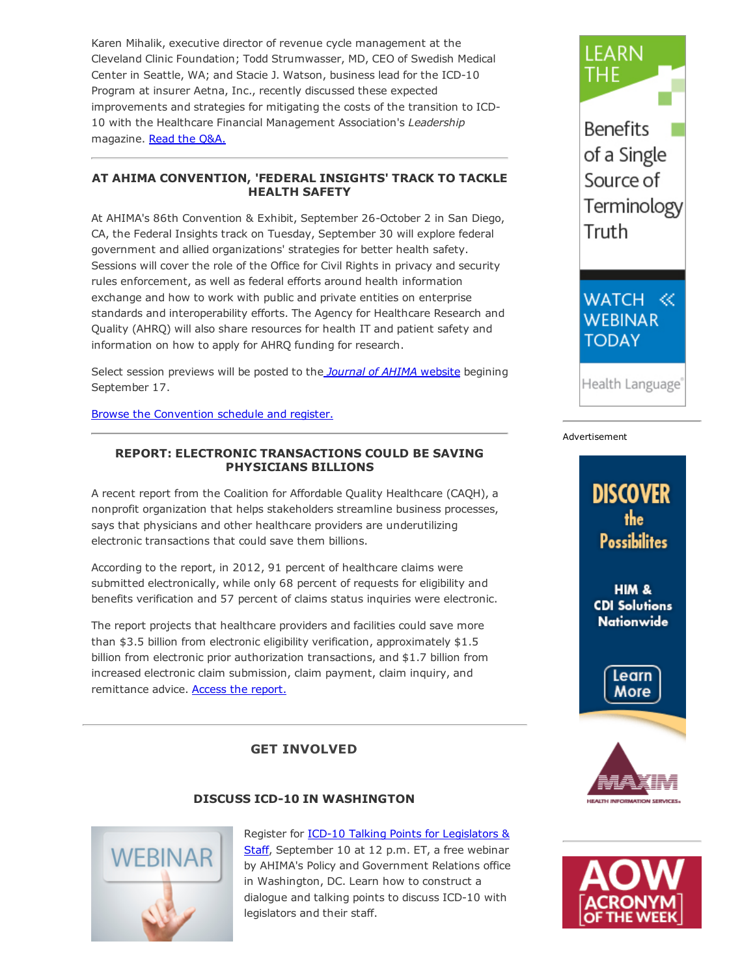Karen Mihalik, executive director of revenue cycle management at the Cleveland Clinic Foundation; Todd Strumwasser, MD, CEO of Swedish Medical Center in Seattle, WA; and Stacie J. Watson, business lead for the ICD-10 Program at insurer Aetna, Inc., recently discussed these expected improvements and strategies for mitigating the costs of the transition to ICD-10 with the Healthcare Financial Management Association's *Leadership* magazine. Read the [Q&A.](http://www.hfma.org/Content.aspx?id=24094)

# AT AHIMA CONVENTION, 'FEDERAL INSIGHTS' TRACK TO TACKLE HEALTH SAFETY

At AHIMA's 86th Convention & Exhibit, September 26-October 2 in San Diego, CA, the Federal Insights track on Tuesday, September 30 will explore federal government and allied organizations' strategies for better health safety. Sessions will cover the role of the Office for Civil Rights in privacy and security rules enforcement, as well as federal efforts around health information exchange and how to work with public and private entities on enterprise standards and interoperability efforts. The Agency for Healthcare Research and Quality (AHRQ) will also share resources for health IT and patient safety and information on how to apply for AHRQ funding for research.

Select session previews will be posted to the *Journal of AHIMA* [website](http://journal.ahima.org/) begining September 17.

Browse the [Convention](http://www.ahima.org/convention) schedule and register.

# REPORT: ELECTRONIC TRANSACTIONS COULD BE SAVING PHYSICIANS BILLIONS

A recent report from the Coalition for Affordable Quality Healthcare (CAQH), a nonprofit organization that helps stakeholders streamline business processes, says that physicians and other healthcare providers are underutilizing electronic transactions that could save them billions.

According to the report, in 2012, 91 percent of healthcare claims were submitted electronically, while only 68 percent of requests for eligibility and benefits verification and 57 percent of claims status inquiries were electronic.

The report projects that healthcare providers and facilities could save more than \$3.5 billion from electronic eligibility verification, approximately \$1.5 billion from electronic prior authorization transactions, and \$1.7 billion from increased electronic claim submission, claim payment, claim inquiry, and remittance advice. Access the [report.](http://www.caqh.org/pdf/2013Index.pdf)

# GET INVOLVED

# DISCUSS ICD-10 IN WASHINGTON



Register for **ICD-10 Talking Points for Legislators &** Staff, [September](https://ahima.webex.com/ahima/j.php?ED=294552632&RG=1&UID=0&RT=MiMxMQ%3D%3D) 10 at 12 p.m. ET, a free webinar by AHIMA's Policy and Government Relations office in Washington, DC. Learn how to construct a dialogue and talking points to discuss ICD-10 with legislators and their staff.



**Benefits** of a Single Source of Terminology Truth

WATCH << **WEBINAR TODAY** 

Health Language<sup>®</sup>

#### Advertisement

# **DISCOVER** the **Possibilites**

HIM & **CDI Solutions Nationwide** 





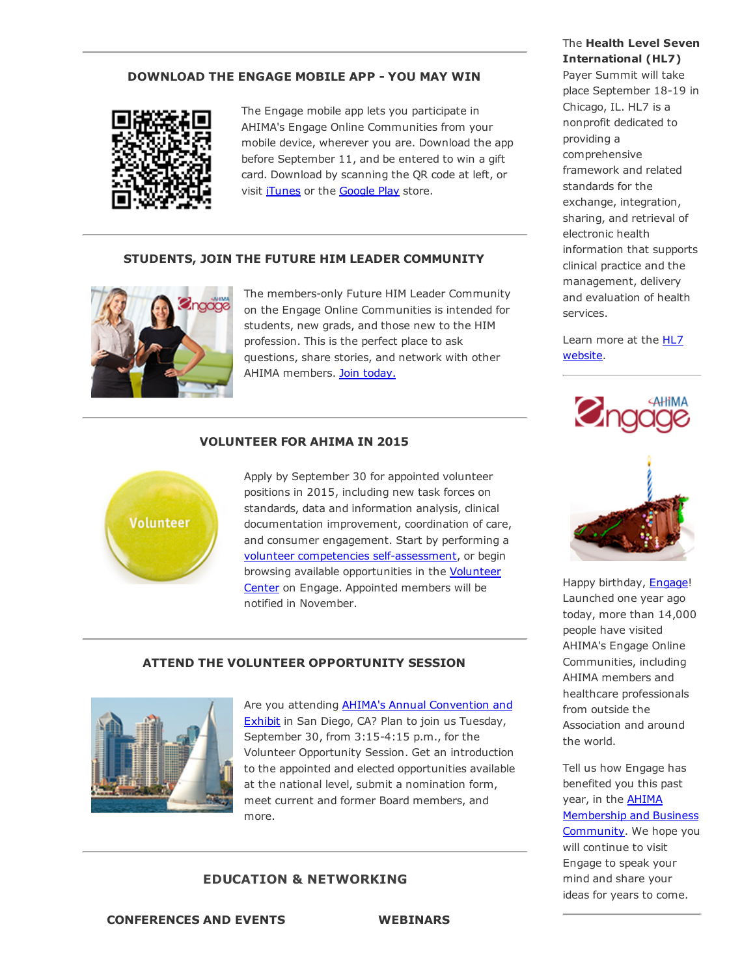#### DOWNLOAD THE ENGAGE MOBILE APP - YOU MAY WIN



The Engage mobile app lets you participate in AHIMA's Engage Online Communities from your mobile device, wherever you are. Download the app before September 11, and be entered to win a gift card. Download by scanning the QR code at left, or visit *[iTunes](https://itunes.apple.com/us/app/ahima-engage/id795420301?mt=8)* or the **[Google](https://play.google.com/store/apps/details?id=net.rd.android.membercentric.ahima) Play** store.

### STUDENTS, JOIN THE FUTURE HIM LEADER COMMUNITY



The members-only Future HIM Leader Community on the Engage Online Communities is intended for students, new grads, and those new to the HIM profession. This is the perfect place to ask questions, share stories, and network with other AHIMA members. Join [today.](http://engage.ahima.org/communities/viewcommunities/groupdetails/?communitykey=731fe856-9b47-45b0-8871-092a93396781&tab=groupdetails)

#### VOLUNTEER FOR AHIMA IN 2015



Apply by September 30 for appointed volunteer positions in 2015, including new task forces on standards, data and information analysis, clinical documentation improvement, coordination of care, and consumer engagement. Start by performing a volunteer competencies self-assessment, or begin browsing available [opportunities](http://engage.ahima.org/volunteer/volunteeropportunities) in the Volunteer Center on Engage. Appointed members will be notified in November.

#### ATTEND THE VOLUNTEER OPPORTUNITY SESSION



Are you attending **AHIMA's Annual [Convention](http://www.ahima.org/convention) and** Exhibit in San Diego, CA? Plan to join us Tuesday, September 30, from 3:15-4:15 p.m., for the Volunteer Opportunity Session. Get an introduction to the appointed and elected opportunities available at the national level, submit a nomination form, meet current and former Board members, and more.

#### EDUCATION & NETWORKING

# CONFERENCES AND EVENTS WEBINARS

# The Health Level Seven International (HL7)

Payer Summit will take place September 18-19 in Chicago, IL. HL7 is a nonprofit dedicated to providing a comprehensive framework and related standards for the exchange, integration, sharing, and retrieval of electronic health information that supports clinical practice and the management, delivery and evaluation of health services.

Learn more at the **HL7** [website.](http://www.hl7.org/events/payersummit2014/)



Happy birthday, [Engage](http://engage.ahima.org/)! Launched one year ago today, more than 14,000 people have visited AHIMA's Engage Online Communities, including AHIMA members and healthcare professionals from outside the Association and around the world.

Tell us how Engage has benefited you this past year, in the **AHIMA** Membership and Business [Community.](http://engage.ahima.org/communities/viewcommunities/groupdetails/?CommunityKey=93941d81-3fb0-4301-8fd0-81f6bce5889d) We hope you will continue to visit Engage to speak your mind and share your ideas for years to come.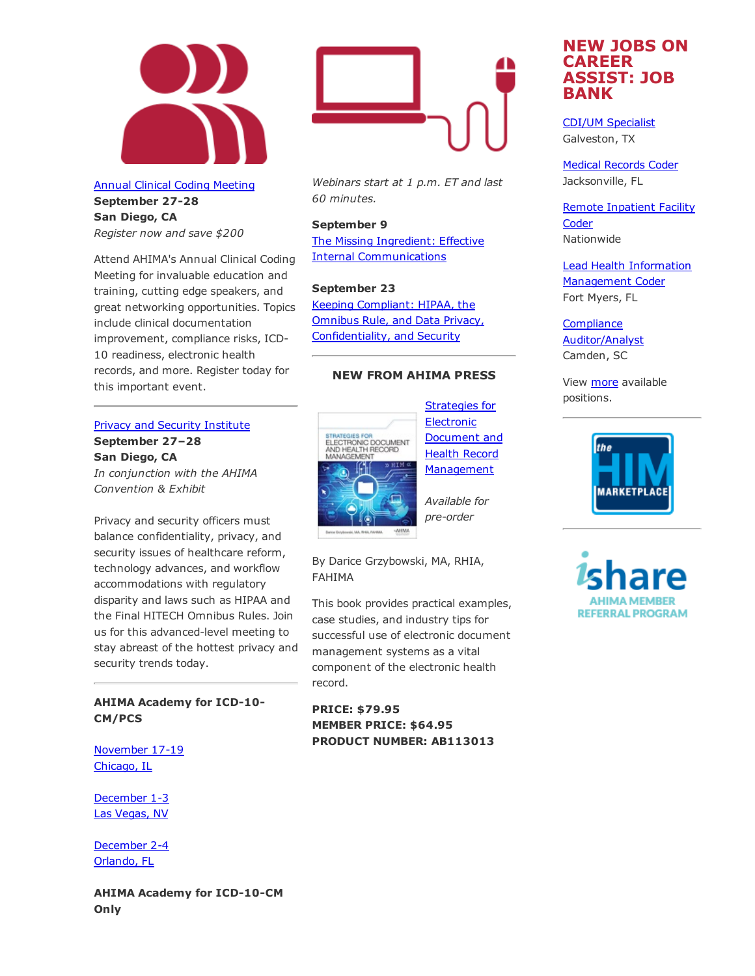

Annual Clinical Coding [Meeting](http://www.ahima.org/events/2014Sept-clinicalcoding) September 27-28 San Diego, CA *Register now and save \$200*

Attend AHIMA's Annual Clinical Coding Meeting for invaluable education and training, cutting edge speakers, and great networking opportunities. Topics include clinical documentation improvement, compliance risks, ICD-10 readiness, electronic health records, and more. Register today for this important event.

#### Privacy and Security [Institute](http://www.ahima.org/events/2014sept-PrivacyInstitute)

September 27–28 San Diego, CA *In conjunction with the AHIMA Convention & Exhibit*

Privacy and security officers must balance confidentiality, privacy, and security issues of healthcare reform, technology advances, and workflow accommodations with regulatory disparity and laws such as HIPAA and the Final HITECH Omnibus Rules. Join us for this advanced-level meeting to stay abreast of the hottest privacy and security trends today.

## AHIMA Academy for ICD-10-CM/PCS

[November](http://www.ahima.org/events/2014nov-icd10academy-chi) 17-19 Chicago, IL

[December](http://www.ahima.org/events/2014Dec-icd10academy-Vegas) 1-3 Las Vegas, NV

[December](http://www.ahima.org/events/2014dec-icd10academy-orlando) 2-4 Orlando, FL

AHIMA Academy for ICD-10-CM Only



*Webinars start at 1 p.m. ET and last 60 minutes.*

September 9 The Missing Ingredient: Effective Internal [Communications](https://www.ahimastore.org/ProductDetailAudioSeminars.aspx?ProductID=17270)

#### September 23

Keeping Compliant: HIPAA, the Omnibus Rule, and Data Privacy, [Confidentiality,](https://www.ahimastore.org/ProductDetailAudioSeminars.aspx?ProductID=17280&MXCode=MX9112) and Security

#### NEW FROM AHIMA PRESS



**Electronic** Document and Health Record [Management](https://www.ahimastore.org/ProductDetailBooks.aspx?ProductID=17550)

*Available for pre-order* 

By Darice Grzybowski, MA, RHIA, FAHIMA

This book provides practical examples, case studies, and industry tips for successful use of electronic document management systems as a vital component of the electronic health record.

PRICE: \$79.95 MEMBER PRICE: \$64.95 PRODUCT NUMBER: AB113013

# NEW JOBS ON CAREER ASSIST: JOB BANK

CDI/UM [Specialist](http://careerassist.ahima.org/jobseeker/job/18941431/) Galveston, TX

Medical [Records](http://careerassist.ahima.org/jobseeker/job/17341042/) Coder Jacksonville, FL

Remote [Inpatient](http://careerassist.ahima.org/jobseeker/job/18088872/) Facility **Coder** Nationwide

Lead Health Information [Management](http://careerassist.ahima.org/jobseeker/job/17667738/) Coder Fort Myers, FL

**Compliance** [Auditor/Analyst](http://careerassist.ahima.org/jobseeker/job/19870243/) Camden, SC

View *[more](http://careerassist.ahima.org/home/home.cfm?site_id=681)* available positions.



**REFERRAL PROGRAM**